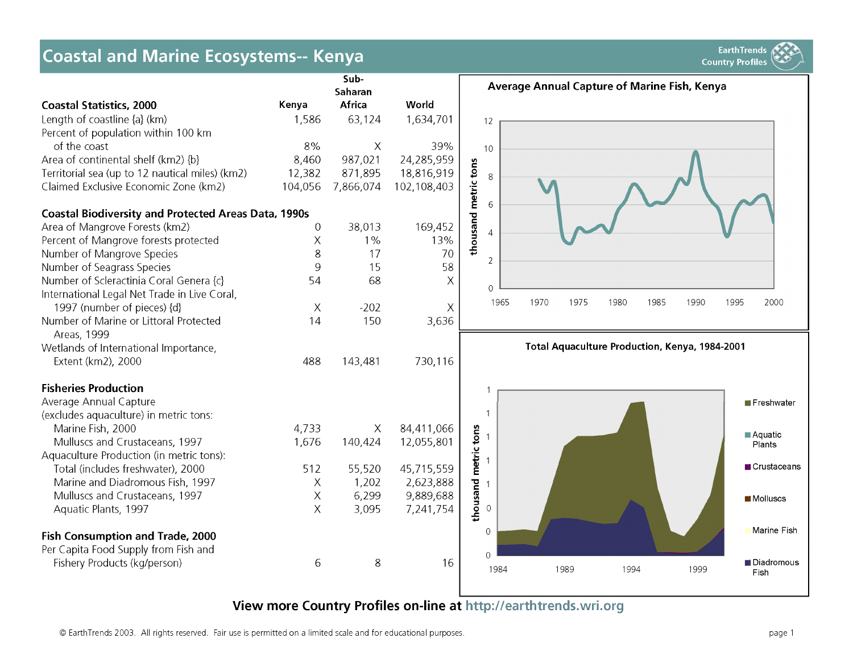# **Coastal and Marine Ecosystems-- Kenya External and Marine Ecosystems-- Kenya External and Marine Ecosystems**



**View more Country Profiles on-line at <http://earthtrends.wri.org>**

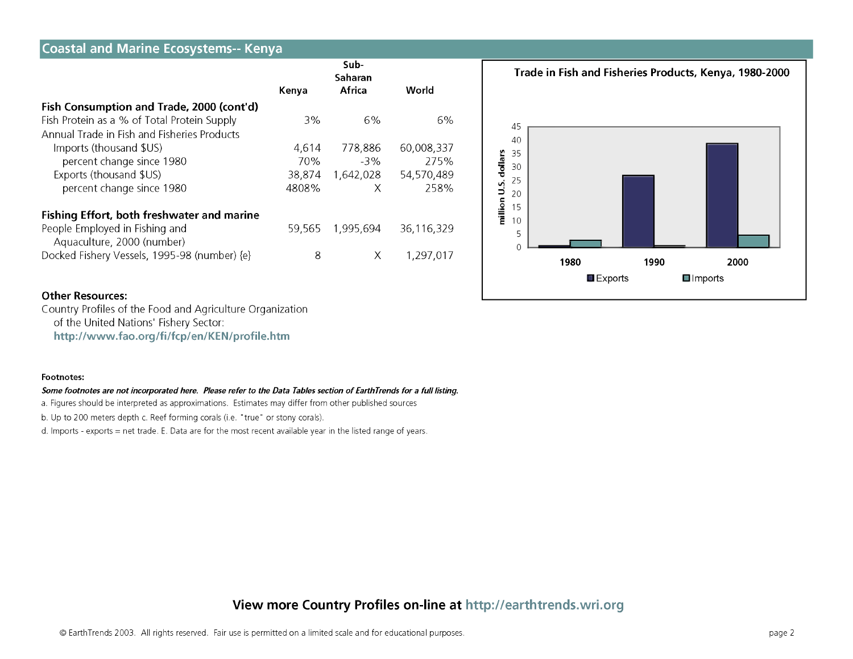| <b>Coastal and Marine Ecosystems-- Kenya</b> |        |                           |            |                                                        |
|----------------------------------------------|--------|---------------------------|------------|--------------------------------------------------------|
|                                              | Kenya  | Sub-<br>Saharan<br>Africa | World      | Trade in Fish and Fisheries Products, Kenya, 1980-2000 |
| Fish Consumption and Trade, 2000 (cont'd)    |        |                           |            |                                                        |
| Fish Protein as a % of Total Protein Supply  | 3%     | 6%                        | 6%         | 45                                                     |
| Annual Trade in Fish and Fisheries Products  |        |                           |            | 40                                                     |
| Imports (thousand \$US)                      | 4,614  | 778,886                   | 60,008,337 | 35                                                     |
| percent change since 1980                    | 70%    | $-3\%$                    | 275%       | ollars<br>30                                           |
| Exports (thousand \$US)                      | 38,874 | 1,642,028                 | 54,570,489 | 25                                                     |
| percent change since 1980                    | 4808%  | X                         | 258%       | ۰j<br>⊃<br>20                                          |
| Fishing Effort, both freshwater and marine   |        |                           |            | million<br>15                                          |
| People Employed in Fishing and               | 59,565 | 1,995,694                 | 36,116,329 | $\overline{0}$<br>5                                    |
| Aquaculture, 2000 (number)                   |        |                           |            |                                                        |
| Docked Fishery Vessels, 1995-98 (number) {e} | 8      | Χ                         | 1,297,017  | 1980<br>1990<br>2000                                   |
|                                              |        |                           |            | $\blacksquare$ Exports<br>$\square$ Imports            |

#### **Other Resources:**

Country Profiles of the Food and Agriculture Organization of the United Nations' Fishery Sector:

**[h ttp ://w w w .fao .o rg /fi/fcp /en /K E N /p ro file.h tm](http://www.fao.org/fi/fcp/en/KEN/profile.htm)**

#### **Footnotes:**

#### Some footnotes are not incorporated here. Please refer to the Data Tables section of EarthTrends for a full listing.

a. Figures should be interpreted as approximations. Estimates may differ from other published sources

b. Up to 200 meters depth c. Reef forming corals (i.e. "true" or stony corals).

d. Imports - exports = net trade. E. Data are for the most recent available year in the listed range of years.

## **View more Country Profiles on-line at <http://earthtrends.wri.org>**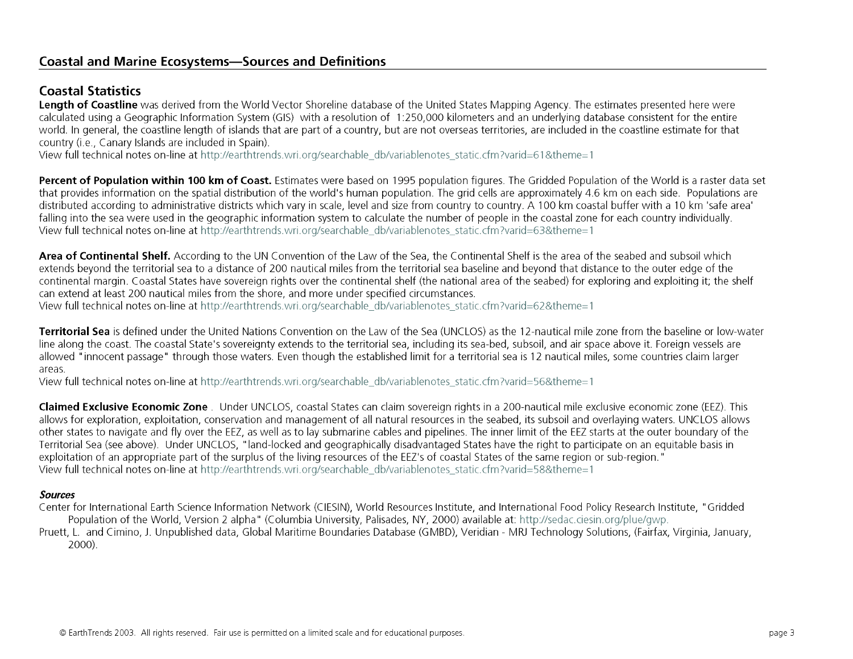# **Coastal and Marine Ecosystems— Sources and Definitions**

## **Coastal Statistics**

**Length of Coastline** was derived from the World Vector Shoreline database of the United States Mapping Agency. The estimates presented here were calculated using a Geographic Information System (GIS) with a resolution of 1:250,000 kilometers and an underlying database consistent for the entire world. In general, the coastline length of islands that are part of a country, but are not overseas territories, are included in the coastline estimate for that country (i.e., Canary Islands are included in Spain).

View full technical notes on-line at [http://earthtrends.wri.org/searchable\\_db/variablenotes\\_static.cfm?varid=61&theme=1](http://earthtrends.wri.org/searchable_db/variablenotes_static.cfm?varid=61&theme=1)

Percent of Population within 100 km of Coast. Estimates were based on 1995 population figures. The Gridded Population of the World is a raster data set that provides information on the spatial distribution of the world's human population. The grid cells are approximately 4.6 km on each side. Populations are distributed according to administrative districts which vary in scale, level and size from country to country. A 100 km coastal buffer with a 10 km 'safe area' falling into the sea were used in the geographic information system to calculate the number of people in the coastal zone for each country individually. View full technical notes on-line at [http://earthtrends.wri.org/searchable\\_db/variablenotes\\_static.cfm?varid=63&theme=1](http://earthtrends.wri.org/searchable_db/variablenotes_static.cfm?varid=63&theme=1)

**Area of Continental Shelf.** According to the UN Convention of the Law of the Sea, the Continental Shelf is the area of the seabed and subsoil which extends beyond the territorial sea to a distance of 200 nautical miles from the territorial sea baseline and beyond that distance to the outer edge of the continental margin. Coastal States have sovereign rights over the continental shelf (the national area of the seabed) for exploring and exploiting it; the shelf can extend at least 200 nautical miles from the shore, and more under specified circumstances.

View full technical notes on-line at [http://earthtrends.wri.org/searchable\\_db/variablenotes\\_static.cfm?varid=62&theme=1](http://earthtrends.wri.org/searchable_db/variablenotes_static.cfm?varid=62&theme=1)

**Territorial Sea** is defined under the United Nations Convention on the Law of the Sea (UNCLOS) as the 12-nautical mile zone from the baseline or low-water line along the coast. The coastal State's sovereignty extends to the territorial sea, including its sea-bed, subsoil, and air space above it. Foreign vessels are allowed "innocent passage" through those waters. Even though the established limit for a territorial sea is 12 nautical miles, some countries claim larger areas.

View full technical notes on-line at [http://earthtrends.wri.org/searchable\\_db/variablenotes\\_static.cfm?varid=56&theme=1](http://earthtrends.wri.org/searchable_db/variablenotes_static.cfm?varid=56&theme=1)

**Claimed Exclusive Economic Zone** . Under UNCLOS, coastal States can claim sovereign rights in a 200-nautical mile exclusive economic zone (EEZ). This allows for exploration, exploitation, conservation and management of all natural resources in the seabed, its subsoil and overlaying waters. UNCLOS allows other states to navigate and fly over the EEZ, as well as to lay submarine cables and pipelines. The inner limit of the EEZ starts at the outer boundary of the Territorial Sea (see above). Under UNCLOS, "land-locked and geographically disadvantaged States have the right to participate on an equitable basis in exploitation of an appropriate part of the surplus of the living resources of the EEZ's of coastal States of the same region or sub-region. " View full technical notes on-line at [http://earthtrends.wri.org/searchable\\_db/variablenotes\\_static.cfm?varid=58&theme=1](http://earthtrends.wri.org/searchable_db/variablenotes_static.cfm?varid=58&theme=1)

## *Sources*

Center for International Earth Science Information Network (CIESIN), World Resources Institute, and International Food Policy Research Institute, "Gridded Population of the World, Version 2 alpha" (Columbia University, Palisades, NY, 2000) available at: <http://sedac.ciesin.org/plue/gwp>. Pruett, L. and Cimino, J. Unpublished data. Global Maritime Boundaries Database (GMBD), Veridian - MRJ Technology Solutions, (Fairfax, Virginia, January, 2000).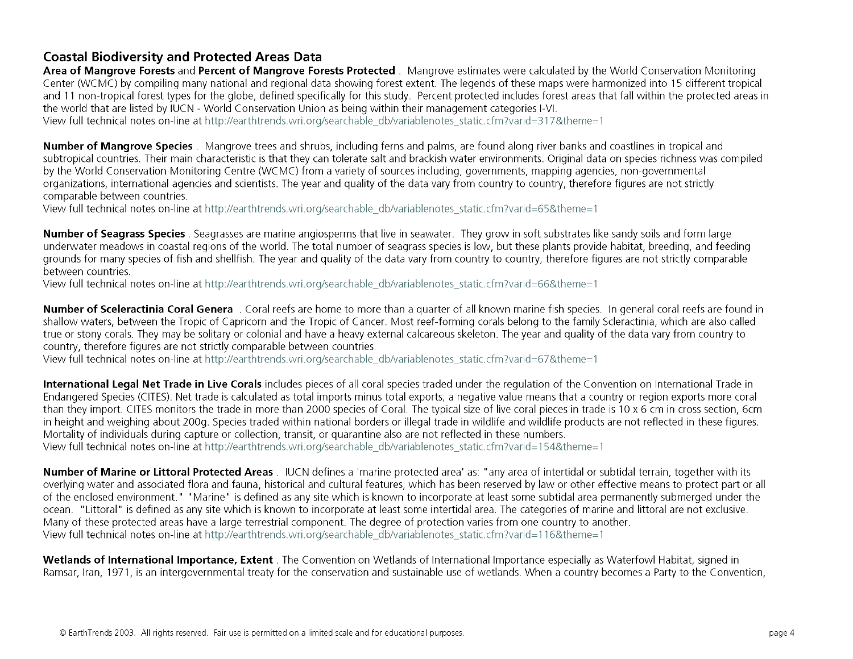## **Coastal Biodiversity and Protected Areas Data**

Area of Mangrove Forests and Percent of Mangrove Forests Protected . Mangrove estimates were calculated by the World Conservation Monitoring Center (WCMC) by compiling many national and regional data showing forest extent. The legends of these maps were harmonized into 15 different tropical and 11 non-tropical forest types for the globe, defined specifically for this study. Percent protected includes forest areas that fall within the protected areas in the world that are listed by IUCN - World Conservation Union as being w ithin their management categories I-VI.

View full technical notes on-line at [http://earthtrends.wri.org/searchable\\_db/variablenotes\\_static.cfm?varid=317&theme=1](http://earthtrends.wri.org/searchable_db/variablenotes_static.cfm?varid=317&theme=1)

**Number of Mangrove Species**. Mangrove trees and shrubs, including ferns and palms, are found along river banks and coastlines in tropical and subtropical countries. Their main characteristic is that they can tolerate salt and brackish water environments. Original data on species richness was compiled by the World Conservation Monitoring Centre (WCMC) from a variety of sources including, governments, mapping agencies, non-governmental organizations, international agencies and scientists. The year and quality of the data vary from country to country, therefore figures are not strictly comparable between countries.

View full technical notes on-line at [http://earthtrends.wri.org/searchable\\_db/variablenotes\\_static.cfm?varid=65&theme=1](http://earthtrends.wri.org/searchable_db/variablenotes_static.cfm?varid=65&theme=1)

**Number of Seagrass Species** . Seagrasses are marine angiosperms that live in seawater. They grow in soft substrates like sandy soils and form large underwater meadows in coastal regions of the world. The total number of seagrass species is low, but these plants provide habitat, breeding, and feeding grounds for many species of fish and shellfish. The year and quality of the data vary from country to country, therefore figures are not strictly comparable between countries.

View full technical notes on-line at [http://earthtrends.wri.org/searchable\\_db/variablenotes\\_static.cfm?varid=66&theme=1](http://earthtrends.wri.org/searchable_db/variablenotes_static.cfm?varid=66&theme=1)

**Num ber of Sceleractinia Coral Genera** . Coral reefs are home to more than a quarter of all known marine fish species. In general coral reefs are found in shallow waters, between the Tropic of Capricorn and the Tropic of Cancer. Most reef-forming corals belong to the family Scleractinia, which are also called true or stony corals. They may be solitary or colonial and have a heavy external calcareous skeleton. The year and quality of the data vary from country to country, therefore figures are not strictly comparable between countries.

View full technical notes on-line at [http://earthtrends.wri.org/searchable\\_db/variablenotes\\_static.cfm?varid=67&theme=1](http://earthtrends.wri.org/searchable_db/variablenotes_static.cfm?varid=67&theme=1)

**International Legal Net Trade in Live Corals** includes pieces of all coral species traded under the regulation of the Convention on International Trade in Endangered Species (CITES). Net trade is calculated as total imports minus total exports; a negative value means that a country or region exports more coral than they import. CITES monitors the trade in more than 2000 species of Coral. The typical size of live coral pieces in trade is 10 x 6 cm in cross section, 6cm in height and weighing about 200g. Species traded within national borders or illegal trade in wildlife and wildlife products are not reflected in these figures. Mortality of individuals during capture or collection, transit, or quarantine also are not reflected in these numbers.

View full technical notes on-line at [http://earthtrends.wri.org/searchable\\_db/variablenotes\\_static.cfm?varid=154&theme=1](http://earthtrends.wri.org/searchable_db/variablenotes_static.cfm?varid=154&theme=1)

**Number of Marine or Littoral Protected Areas**. IUCN defines a 'marine protected area' as: "any area of intertidal or subtidal terrain, together with its overlying water and associated flora and fauna, historical and cultural features, which has been reserved by law or other effective means to protect part or all of the enclosed environment." "Marine" is defined as any site which is known to incorporate at least some subtidal area permanently submerged under the ocean. "Littoral" is defined as any site which is known to incorporate at least some intertidal area. The categories of marine and littoral are not exclusive. Many of these protected areas have a large terrestrial component. The degree of protection varies from one country to another. View full technical notes on-line at [http://earthtrends.wri.org/searchable\\_db/variablenotes\\_static.cfm?varid=116&theme=1](http://earthtrends.wri.org/searchable_db/variablenotes_static.cfm?varid=116&theme=1)

Wetlands of International Importance, Extent . The Convention on Wetlands of International Importance especially as Waterfowl Habitat, signed in Ramsar, Iran, 1971, is an intergovernmental treaty for the conservation and sustainable use of wetlands. When a country becomes a Party to the Convention,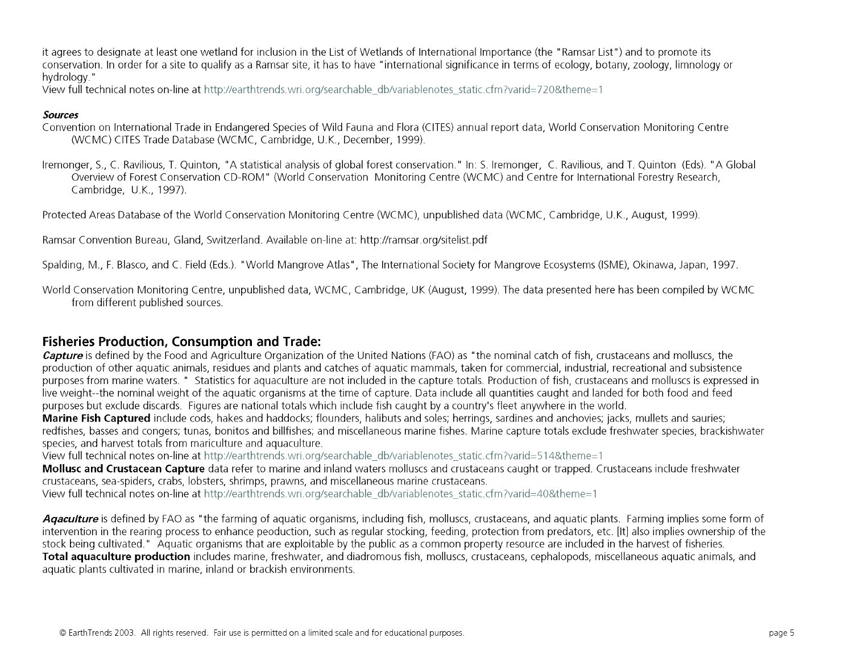it agrees to designate at least one wetland for inclusion in the List of Wetlands of International Importance (the " Ramsar List") and to promote its conservation. In order for a site to qualify as a Ramsar site, it has to have "international significance in terms of ecology, botany, zoology, limnology or hydrology."

View full technical notes on-line at [http://earthtrends.wri.org/searchable\\_db/variablenotes\\_static.cfm?varid=720&theme=1](http://earthtrends.wri.org/searchable_db/variablenotes_static.cfm?varid=720&theme=1)

## *Sources*

- Convention on International Trade in Endangered Species of Wild Fauna and Flora (CITES) annual report data, World Conservation Monitoring Centre (WCMC) CITES Trade Database (WCMC, Cambridge, U.K., December, 1999).
- Iremonger, S., C. Ravilious, T. Quinton, "A statistical analysis of global forest conservation." In: S. Iremonger, C. Ravilious, and T. Quinton (Eds). "A Global Overview of Forest Conservation CD-ROM" (World Conservation Monitoring Centre (WCMC) and Centre for International Forestry Research, Cambridge, U.K., 1997).

Protected Areas Database of the World Conservation Monitoring Centre (WCMC), unpublished data (WCMC, Cambridge, U.K., August, 1999).

Ramsar Convention Bureau, Gland, Switzerland. Available on-line at: <http://ramsar.org/sitelist.pdf>

Spalding, M., F. Blasco, and C. Field (Eds.). "W orld Mangrove Atlas", The International Society for Mangrove Ecosystems (ISME), Okinawa, Japan, 1997.

World Conservation Monitoring Centre, unpublished data, WCMC, Cambridge, UK (August, 1999). The data presented here has been compiled by WCMC from different published sources.

## **Fisheries Production, Consumption and Trade:**

*Capture* is defined by the Food and Agriculture Organization of the United Nations (FAO) as "the nominal catch of fish, crustaceans and molluscs, the production of other aquatic animals, residues and plants and catches of aquatic mammals, taken for commercial, industrial, recreational and subsistence purposes from marine waters. " Statistics for aquaculture are not included in the capture totals. Production of fish, crustaceans and molluscs is expressed in live weight--the nominal weight of the aquatic organisms at the time of capture. Data include all quantities caught and landed for both food and feed purposes but exclude discards. Figures are national totals which include fish caught by a country's fleet anywhere in the world.

**Marine Fish Captured** include cods, hakes and haddocks; flounders, halibuts and soles; herrings, sardines and anchovies; jacks, mullets and sauries; redfishes, basses and congers; tunas, bonitos and billfishes; and miscellaneous marine fishes. Marine capture totals exclude freshwater species, brackishwater species, and harvest totals from mariculture and aquaculture.

View full technical notes on-line at [http://earthtrends.wri.org/searchable\\_db/variablenotes\\_static.cfm?varid=514&theme=1](http://earthtrends.wri.org/searchable_db/variablenotes_static.cfm?varid=514&theme=1)

**Mollusc and Crustacean Capture** data refer to marine and inland waters molluscs and crustaceans caught or trapped. Crustaceans include freshwater crustaceans, sea-spiders, crabs, lobsters, shrimps, prawns, and miscellaneous marine crustaceans.

View full technical notes on-line at [http://earthtrends.wri.org/searchable\\_db/variablenotes\\_static.cfm?varid=40&theme=1](http://earthtrends.wri.org/searchable_db/variablenotes_static.cfm?varid=40&theme=1)

Agaculture is defined by FAO as "the farming of aquatic organisms, including fish, molluscs, crustaceans, and aquatic plants. Farming implies some form of intervention in the rearing process to enhance peoduction, such as regular stocking, feeding, protection from predators, etc. [It] also implies ownership of the stock being cultivated. " Aquatic organisms that are exploitable by the public as a common property resource are included in the harvest of fisheries. **Total aquaculture production** includes marine, freshwater, and diadromous fish, molluscs, crustaceans, cephalopods, miscellaneous aquatic animals, and aquatic plants cultivated in marine, inland or brackish environments.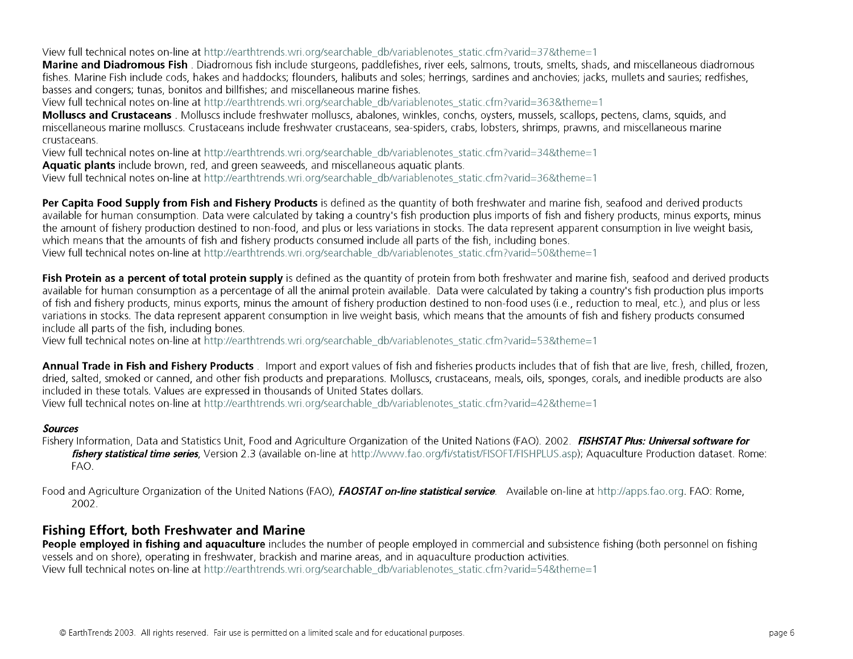View full technical notes on-line at [http://earthtrends.wri.org/searchable\\_db/variablenotes\\_static.cfm?varid=37&theme=1](http://earthtrends.wri.org/searchable_db/variablenotes_static.cfm?varid=37&theme=1)

**Marine and Diadromous Fish** . Diadromous fish include sturgeons, paddlefishes, river eels, salmons, trouts, smelts, shads, and miscellaneous diadromous fishes. Marine Fish include cods, hakes and haddocks; flounders, halibuts and soles; herrings, sardines and anchovies; jacks, mullets and sauries; redfishes, basses and congers; tunas, bonitos and billfishes; and miscellaneous marine fishes.

View full technical notes on-line at [http://earthtrends.wri.org/searchable\\_db/variablenotes\\_static.cfm?varid=363&theme=1](http://earthtrends.wri.org/searchable_db/variablenotes_static.cfm?varid=363&theme=1)

**Molluscs and Crustaceans** . Molluscs include freshwater molluscs, abalones, winkles, conchs, oysters, mussels, scallops, pectens, clams, squids, and miscellaneous marine molluscs. Crustaceans include freshwater crustaceans, sea-spiders, crabs, lobsters, shrimps, prawns, and miscellaneous marine crustaceans.

View full technical notes on-line at [http://earthtrends.wri.org/searchable\\_db/variablenotes\\_static.cfm?varid=34&theme=1](http://earthtrends.wri.org/searchable_db/variablenotes_static.cfm?varid=34&theme=1)

**Aquatic plants** include brown, red, and green seaweeds, and miscellaneous aquatic plants.

View full technical notes on-line at [http://earthtrends.wri.org/searchable\\_db/variablenotes\\_static.cfm?varid=36&theme=1](http://earthtrends.wri.org/searchable_db/variablenotes_static.cfm?varid=36&theme=1)

**Per Capita Food Supply from Fish and Fishery Products** is defined as the quantity of both freshwater and marine fish, seafood and derived products available for human consumption. Data were calculated by taking a country's fish production plus imports of fish and fishery products, minus exports, minus the amount of fishery production destined to non-food, and plus or less variations in stocks. The data represent apparent consumption in live weight basis, which means that the amounts of fish and fishery products consumed include all parts of the fish, including bones. View full technical notes on-line at [http://earthtrends.wri.org/searchable\\_db/variablenotes\\_static.cfm?varid=50&theme=1](http://earthtrends.wri.org/searchable_db/variablenotes_static.cfm?varid=50&theme=1)

**Fish Protein as a percent of total protein supply** is defined as the quantity of protein from both freshwater and marine fish, seafood and derived products available for human consumption as a percentage of all the animal protein available. Data were calculated by taking a country's fish production plus imports of fish and fishery products, minus exports, minus the amount of fishery production destined to non-food uses (i.e., reduction to meal, etc.), and plus or less variations in stocks. The data represent apparent consumption in live weight basis, which means that the amounts of fish and fishery products consumed include all parts of the fish, including bones.

View full technical notes on-line at [http://earthtrends.wri.org/searchable\\_db/variablenotes\\_static.cfm?varid=53&theme=1](http://earthtrends.wri.org/searchable_db/variablenotes_static.cfm?varid=53&theme=1)

**Annual Trade in Fish and Fishery Products** . Import and export values of fish and fisheries products includes that of fish that are live, fresh, chilled, frozen, dried, salted, smoked or canned, and other fish products and preparations. Molluscs, crustaceans, meals, oils, sponges, corals, and inedible products are also included in these totals. Values are expressed in thousands of United States dollars.

View full technical notes on-line at [http://earthtrends.wri.org/searchable\\_db/variablenotes\\_static.cfm?varid=42&theme=1](http://earthtrends.wri.org/searchable_db/variablenotes_static.cfm?varid=42&theme=1)

## *Sources*

Fishery Information, Data and Statistics Unit, Food and Agriculture Organization of the United Nations (FAO). 2002. *FISHSTAT Plus: Universal software for fishery statistical time series,* Version 2.3 (available on-line at [http://www.fao.org/fi/statist/FISOFT/FISFIPLUS.asp\)](http://www.fao.org/fi/statist/FISOFT/FISFIPLUS.asp); Aquaculture Production dataset. Rome: FAO.

Food and Agriculture Organization of the United Nations (FAO), *FAOSTAT on-line statistical service.* Available on-line at <http://apps.fao.org>. FAO: Rome, 2002.

## **Fishing Effort, both Freshwater and Marine**

People employed in fishing and aquaculture includes the number of people employed in commercial and subsistence fishing (both personnel on fishing vessels and on shore), operating in freshwater, brackish and marine areas, and in aquaculture production activities. View full technical notes on-line at [http://earthtrends.wri.org/searchable\\_db/variablenotes\\_static.cfm?varid=54&theme=1](http://earthtrends.wri.org/searchable_db/variablenotes_static.cfm?varid=54&theme=1)